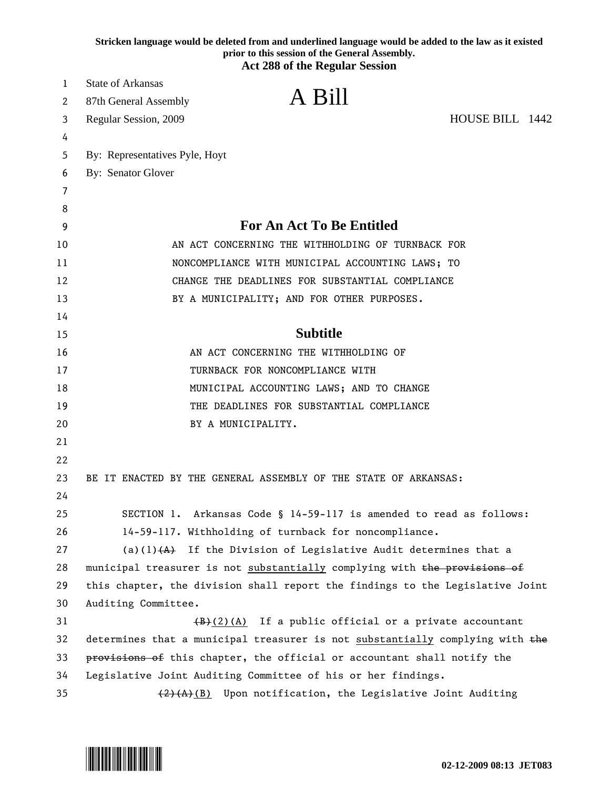|    | Stricken language would be deleted from and underlined language would be added to the law as it existed<br>prior to this session of the General Assembly.<br><b>Act 288 of the Regular Session</b> |
|----|----------------------------------------------------------------------------------------------------------------------------------------------------------------------------------------------------|
| 1  | <b>State of Arkansas</b>                                                                                                                                                                           |
| 2  | A Bill<br>87th General Assembly                                                                                                                                                                    |
| 3  | HOUSE BILL 1442<br>Regular Session, 2009                                                                                                                                                           |
| 4  |                                                                                                                                                                                                    |
| 5  | By: Representatives Pyle, Hoyt                                                                                                                                                                     |
| 6  | By: Senator Glover                                                                                                                                                                                 |
| 7  |                                                                                                                                                                                                    |
| 8  |                                                                                                                                                                                                    |
| 9  | <b>For An Act To Be Entitled</b>                                                                                                                                                                   |
| 10 | AN ACT CONCERNING THE WITHHOLDING OF TURNBACK FOR                                                                                                                                                  |
| 11 | NONCOMPLIANCE WITH MUNICIPAL ACCOUNTING LAWS; TO                                                                                                                                                   |
| 12 | CHANGE THE DEADLINES FOR SUBSTANTIAL COMPLIANCE                                                                                                                                                    |
| 13 | BY A MUNICIPALITY; AND FOR OTHER PURPOSES.                                                                                                                                                         |
| 14 |                                                                                                                                                                                                    |
| 15 | <b>Subtitle</b>                                                                                                                                                                                    |
| 16 | AN ACT CONCERNING THE WITHHOLDING OF                                                                                                                                                               |
| 17 | TURNBACK FOR NONCOMPLIANCE WITH                                                                                                                                                                    |
| 18 | MUNICIPAL ACCOUNTING LAWS; AND TO CHANGE                                                                                                                                                           |
| 19 | THE DEADLINES FOR SUBSTANTIAL COMPLIANCE                                                                                                                                                           |
| 20 | BY A MUNICIPALITY.                                                                                                                                                                                 |
| 21 |                                                                                                                                                                                                    |
| 22 |                                                                                                                                                                                                    |
| 23 | BE IT ENACTED BY THE GENERAL ASSEMBLY OF THE STATE OF ARKANSAS:                                                                                                                                    |
| 24 |                                                                                                                                                                                                    |
| 25 | SECTION 1. Arkansas Code § 14-59-117 is amended to read as follows:                                                                                                                                |
| 26 | 14-59-117. Withholding of turnback for noncompliance.                                                                                                                                              |
| 27 | (a)(1) $(A)$ If the Division of Legislative Audit determines that a                                                                                                                                |
| 28 | municipal treasurer is not substantially complying with the provisions of                                                                                                                          |
| 29 | this chapter, the division shall report the findings to the Legislative Joint                                                                                                                      |
| 30 | Auditing Committee.                                                                                                                                                                                |
| 31 | $(\frac{1}{2})(A)$ If a public official or a private accountant                                                                                                                                    |
| 32 | determines that a municipal treasurer is not substantially complying with the                                                                                                                      |
| 33 | provisions of this chapter, the official or accountant shall notify the                                                                                                                            |
| 34 | Legislative Joint Auditing Committee of his or her findings.                                                                                                                                       |
| 35 | $(2)$ $(A)$ (B) Upon notification, the Legislative Joint Auditing                                                                                                                                  |

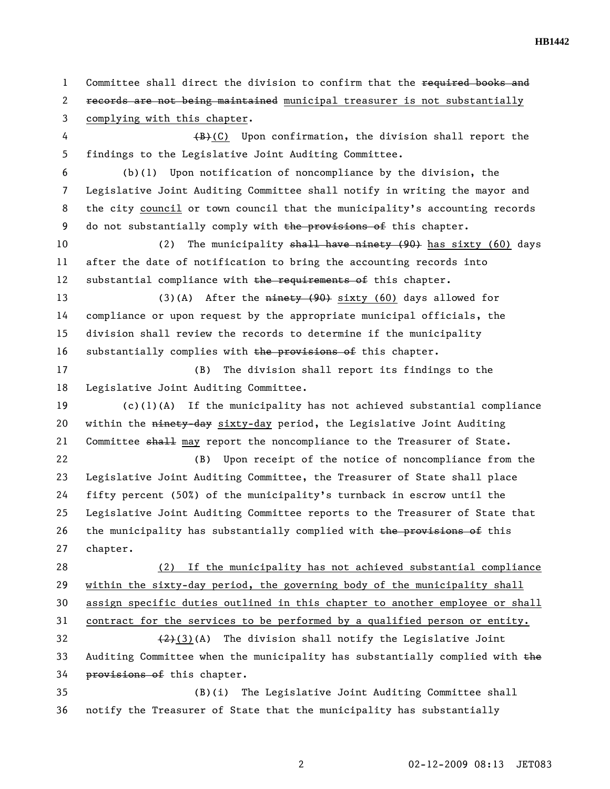**HB1442** 

1 Committee shall direct the division to confirm that the required books and 2 records are not being maintained municipal treasurer is not substantially 3 complying with this chapter. 4 (B)(C) Upon confirmation, the division shall report the 5 findings to the Legislative Joint Auditing Committee. 6 (b)(1) Upon notification of noncompliance by the division, the 7 Legislative Joint Auditing Committee shall notify in writing the mayor and 8 the city council or town council that the municipality's accounting records 9 do not substantially comply with the provisions of this chapter. 10 (2) The municipality shall have ninety (90) has sixty (60) days 11 after the date of notification to bring the accounting records into 12 substantial compliance with the requirements of this chapter. 13 (3)(A) After the ninety (90) sixty (60) days allowed for 14 compliance or upon request by the appropriate municipal officials, the 15 division shall review the records to determine if the municipality 16 substantially complies with the provisions of this chapter. 17 (B) The division shall report its findings to the 18 Legislative Joint Auditing Committee. 19 (c)(1)(A) If the municipality has not achieved substantial compliance 20 within the ninety-day sixty-day period, the Legislative Joint Auditing 21 Committee shall may report the noncompliance to the Treasurer of State. 22 (B) Upon receipt of the notice of noncompliance from the 23 Legislative Joint Auditing Committee, the Treasurer of State shall place 24 fifty percent (50%) of the municipality's turnback in escrow until the 25 Legislative Joint Auditing Committee reports to the Treasurer of State that 26 the municipality has substantially complied with the provisions of this 27 chapter. 28 (2) If the municipality has not achieved substantial compliance 29 within the sixty-day period, the governing body of the municipality shall 30 assign specific duties outlined in this chapter to another employee or shall 31 contract for the services to be performed by a qualified person or entity. 32  $(2)(3)(A)$  The division shall notify the Legislative Joint 33 Auditing Committee when the municipality has substantially complied with  $the$ 34 **provisions of this chapter.** 35 (B)(i) The Legislative Joint Auditing Committee shall 36 notify the Treasurer of State that the municipality has substantially